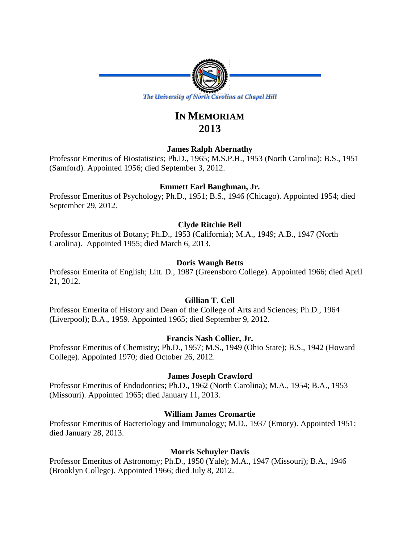

# **IN MEMORIAM 2013**

# **James Ralph Abernathy**

Professor Emeritus of Biostatistics; Ph.D., 1965; M.S.P.H., 1953 (North Carolina); B.S., 1951 (Samford). Appointed 1956; died September 3, 2012.

# **Emmett Earl Baughman, Jr.**

Professor Emeritus of Psychology; Ph.D., 1951; B.S., 1946 (Chicago). Appointed 1954; died September 29, 2012.

# **Clyde Ritchie Bell**

Professor Emeritus of Botany; Ph.D., 1953 (California); M.A., 1949; A.B., 1947 (North Carolina). Appointed 1955; died March 6, 2013.

# **Doris Waugh Betts**

Professor Emerita of English; Litt. D., 1987 (Greensboro College). Appointed 1966; died April 21, 2012.

# **Gillian T. Cell**

Professor Emerita of History and Dean of the College of Arts and Sciences; Ph.D., 1964 (Liverpool); B.A., 1959. Appointed 1965; died September 9, 2012.

# **Francis Nash Collier, Jr.**

Professor Emeritus of Chemistry; Ph.D., 1957; M.S., 1949 (Ohio State); B.S., 1942 (Howard College). Appointed 1970; died October 26, 2012.

# **James Joseph Crawford**

Professor Emeritus of Endodontics; Ph.D., 1962 (North Carolina); M.A., 1954; B.A., 1953 (Missouri). Appointed 1965; died January 11, 2013.

# **William James Cromartie**

Professor Emeritus of Bacteriology and Immunology; M.D., 1937 (Emory). Appointed 1951; died January 28, 2013.

# **Morris Schuyler Davis**

Professor Emeritus of Astronomy; Ph.D., 1950 (Yale); M.A., 1947 (Missouri); B.A., 1946 (Brooklyn College). Appointed 1966; died July 8, 2012.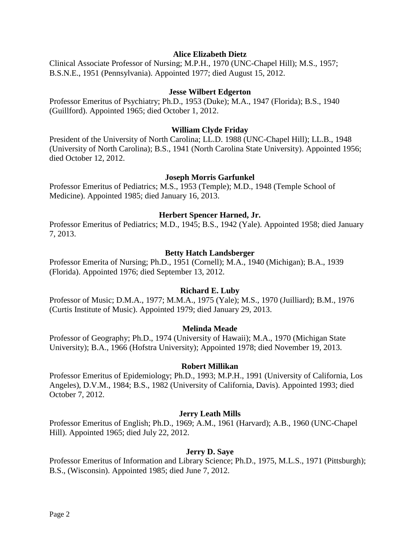### **Alice Elizabeth Dietz**

Clinical Associate Professor of Nursing; M.P.H., 1970 (UNC-Chapel Hill); M.S., 1957; B.S.N.E., 1951 (Pennsylvania). Appointed 1977; died August 15, 2012.

#### **Jesse Wilbert Edgerton**

Professor Emeritus of Psychiatry; Ph.D., 1953 (Duke); M.A., 1947 (Florida); B.S., 1940 (Guillford). Appointed 1965; died October 1, 2012.

## **William Clyde Friday**

President of the University of North Carolina; LL.D. 1988 (UNC-Chapel Hill); LL.B., 1948 (University of North Carolina); B.S., 1941 (North Carolina State University). Appointed 1956; died October 12, 2012.

### **Joseph Morris Garfunkel**

Professor Emeritus of Pediatrics; M.S., 1953 (Temple); M.D., 1948 (Temple School of Medicine). Appointed 1985; died January 16, 2013.

#### **Herbert Spencer Harned, Jr.**

Professor Emeritus of Pediatrics; M.D., 1945; B.S., 1942 (Yale). Appointed 1958; died January 7, 2013.

# **Betty Hatch Landsberger**

Professor Emerita of Nursing; Ph.D., 1951 (Cornell); M.A., 1940 (Michigan); B.A., 1939 (Florida). Appointed 1976; died September 13, 2012.

#### **Richard E. Luby**

Professor of Music; D.M.A., 1977; M.M.A., 1975 (Yale); M.S., 1970 (Juilliard); B.M., 1976 (Curtis Institute of Music). Appointed 1979; died January 29, 2013.

#### **Melinda Meade**

Professor of Geography; Ph.D., 1974 (University of Hawaii); M.A., 1970 (Michigan State University); B.A., 1966 (Hofstra University); Appointed 1978; died November 19, 2013.

#### **Robert Millikan**

Professor Emeritus of Epidemiology; Ph.D., 1993; M.P.H., 1991 (University of California, Los Angeles), D.V.M., 1984; B.S., 1982 (University of California, Davis). Appointed 1993; died October 7, 2012.

#### **Jerry Leath Mills**

Professor Emeritus of English; Ph.D., 1969; A.M., 1961 (Harvard); A.B., 1960 (UNC-Chapel Hill). Appointed 1965; died July 22, 2012.

#### **Jerry D. Saye**

Professor Emeritus of Information and Library Science; Ph.D., 1975, M.L.S., 1971 (Pittsburgh); B.S., (Wisconsin). Appointed 1985; died June 7, 2012.